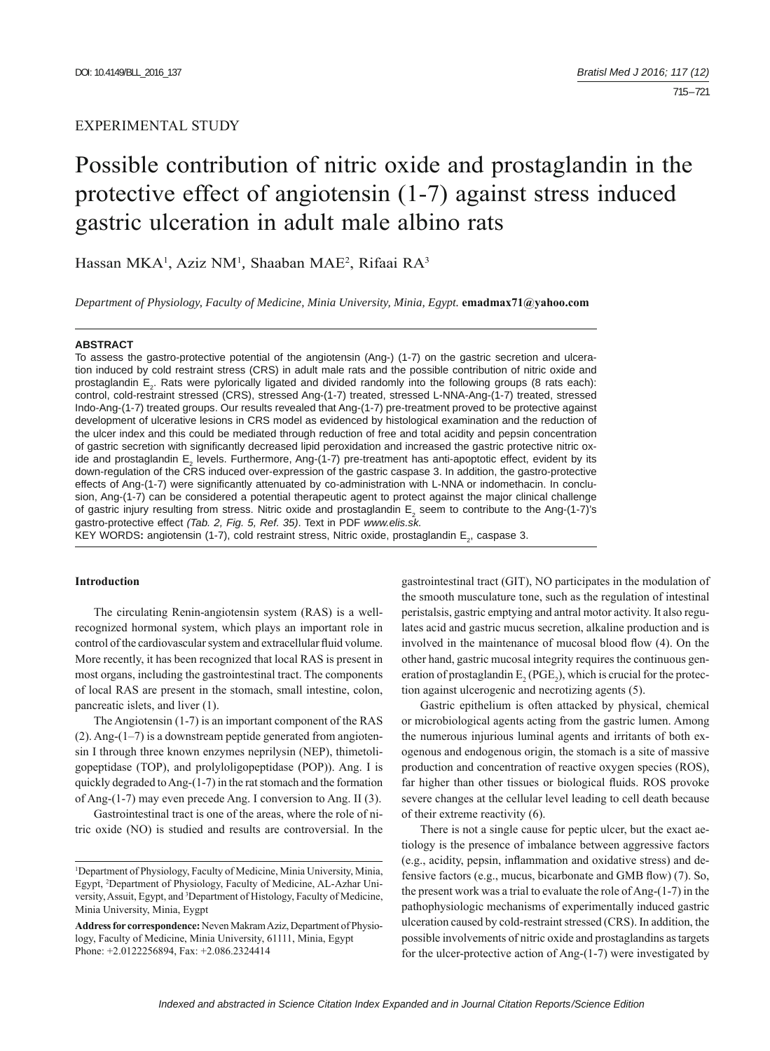# EXPERIMENTAL STUDY

# Possible contribution of nitric oxide and prostaglandin in the protective effect of angiotensin (1-7) against stress induced gastric ulceration in adult male albino rats

Hassan MKA<sup>1</sup>, Aziz NM<sup>1</sup>, Shaaban MAE<sup>2</sup>, Rifaai RA<sup>3</sup>

*Department of Physiology, Faculty of Medicine, Minia University, Minia, Egypt.* **emadmax71@yahoo.com**

#### **ABSTRACT**

To assess the gastro-protective potential of the angiotensin (Ang-) (1-7) on the gastric secretion and ulceration induced by cold restraint stress (CRS) in adult male rats and the possible contribution of nitric oxide and prostaglandin E<sub>2</sub>. Rats were pylorically ligated and divided randomly into the following groups (8 rats each): control, cold-restraint stressed (CRS), stressed Ang-(1-7) treated, stressed L-NNA-Ang-(1-7) treated, stressed Indo-Ang-(1-7) treated groups. Our results revealed that Ang-(1-7) pre-treatment proved to be protective against development of ulcerative lesions in CRS model as evidenced by histological examination and the reduction of the ulcer index and this could be mediated through reduction of free and total acidity and pepsin concentration of gastric secretion with significantly decreased lipid peroxidation and increased the gastric protective nitric oxide and prostaglandin E<sub>2</sub> levels. Furthermore, Ang-(1-7) pre-treatment has anti-apoptotic effect, evident by its down-regulation of the CRS induced over-expression of the gastric caspase 3. In addition, the gastro-protective effects of Ang-(1-7) were significantly attenuated by co-administration with L-NNA or indomethacin. In conclusion, Ang-(1-7) can be considered a potential therapeutic agent to protect against the major clinical challenge of gastric injury resulting from stress. Nitric oxide and prostaglandin  $E_2$  seem to contribute to the Ang-(1-7)'s gastro-protective effect *(Tab. 2, Fig. 5, Ref. 35)*. Text in PDF *www.elis.sk.*

KEY WORDS: angiotensin (1-7), cold restraint stress, Nitric oxide, prostaglandin E<sub>2</sub>, caspase 3.

# **Introduction**

The circulating Renin-angiotensin system (RAS) is a wellrecognized hormonal system, which plays an important role in control of the cardiovascular system and extracellular fluid volume. More recently, it has been recognized that local RAS is present in most organs, including the gastrointestinal tract. The components of local RAS are present in the stomach, small intestine, colon, pancreatic islets, and liver (1).

The Angiotensin (1-7) is an important component of the RAS  $(2)$ . Ang- $(1-7)$  is a downstream peptide generated from angiotensin I through three known enzymes neprilysin (NEP), thimetoligopeptidase (TOP), and prolyloligopeptidase (POP)). Ang. I is quickly degraded to Ang-(1-7) in the rat stomach and the formation of Ang-(1-7) may even precede Ang. I conversion to Ang. II (3).

Gastrointestinal tract is one of the areas, where the role of nitric oxide (NO) is studied and results are controversial. In the

gastrointestinal tract (GIT), NO participates in the modulation of the smooth musculature tone, such as the regulation of intestinal peristalsis, gastric emptying and antral motor activity. It also regulates acid and gastric mucus secretion, alkaline production and is involved in the maintenance of mucosal blood flow (4). On the other hand, gastric mucosal integrity requires the continuous generation of prostaglandin  $E_2(PGE_2)$ , which is crucial for the protection against ulcerogenic and necrotizing agents (5).

Gastric epithelium is often attacked by physical, chemical or microbiological agents acting from the gastric lumen. Among the numerous injurious luminal agents and irritants of both exogenous and endogenous origin, the stomach is a site of massive production and concentration of reactive oxygen species (ROS), far higher than other tissues or biological fluids. ROS provoke severe changes at the cellular level leading to cell death because of their extreme reactivity (6).

There is not a single cause for peptic ulcer, but the exact aetiology is the presence of imbalance between aggressive factors (e.g., acidity, pepsin, inflammation and oxidative stress) and defensive factors (e.g., mucus, bicarbonate and GMB flow)  $(7)$ . So, the present work was a trial to evaluate the role of Ang-(1-7) in the pathophysiologic mechanisms of experimentally induced gastric ulceration caused by cold-restraint stressed (CRS). In addition, the possible involvements of nitric oxide and prostaglandins as targets for the ulcer-protective action of Ang-(1-7) were investigated by

<sup>&</sup>lt;sup>1</sup>Department of Physiology, Faculty of Medicine, Minia University, Minia, Egypt, 2 Department of Physiology, Faculty of Medicine, AL-Azhar University, Assuit, Egypt, and <sup>3</sup>Department of Histology, Faculty of Medicine, Minia University, Minia, Eygpt

**Address for correspondence:** Neven Makram Aziz, Department of Physiology, Faculty of Medicine, Minia University, 61111, Minia, Egypt Phone: +2.0122256894, Fax: +2.086.2324414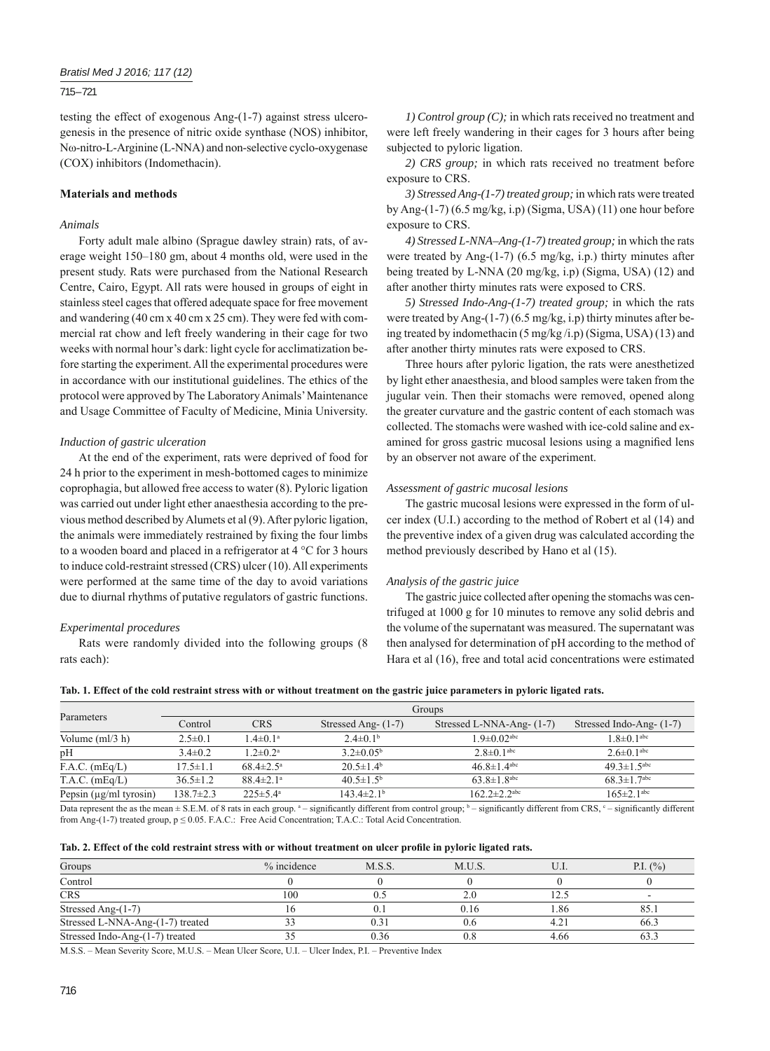## 715 – 721

testing the effect of exogenous Ang-(1-7) against stress ulcerogenesis in the presence of nitric oxide synthase (NOS) inhibitor, Nω-nitro-L-Arginine (L-NNA) and non-selective cyclo-oxygenase (COX) inhibitors (Indomethacin).

# **Materials and methods**

## *Animals*

Forty adult male albino (Sprague dawley strain) rats, of average weight 150–180 gm, about 4 months old, were used in the present study. Rats were purchased from the National Research Centre, Cairo, Egypt. All rats were housed in groups of eight in stainless steel cages that offered adequate space for free movement and wandering (40 cm x 40 cm x 25 cm). They were fed with commercial rat chow and left freely wandering in their cage for two weeks with normal hour's dark: light cycle for acclimatization before starting the experiment. All the experimental procedures were in accordance with our institutional guidelines. The ethics of the protocol were approved by The Laboratory Animals' Maintenance and Usage Committee of Faculty of Medicine, Minia University.

## *Induction of gastric ulceration*

At the end of the experiment, rats were deprived of food for 24 h prior to the experiment in mesh-bottomed cages to minimize coprophagia, but allowed free access to water (8). Pyloric ligation was carried out under light ether anaesthesia according to the previous method described by Alumets et al (9). After pyloric ligation, the animals were immediately restrained by fixing the four limbs to a wooden board and placed in a refrigerator at 4 °C for 3 hours to induce cold-restraint stressed (CRS) ulcer (10). All experiments were performed at the same time of the day to avoid variations due to diurnal rhythms of putative regulators of gastric functions.

#### *Experimental procedures*

Rats were randomly divided into the following groups (8 rats each):

*1) Control group* (*C*); in which rats received no treatment and were left freely wandering in their cages for 3 hours after being subjected to pyloric ligation.

*2) CRS group;* in which rats received no treatment before exposure to CRS.

*3) Stressed Ang-(1-7) treated group;* in which rats were treated by Ang-(1-7) (6.5 mg/kg, i.p) (Sigma, USA) (11) one hour before exposure to CRS.

*4) Stressed L-NNA–Ang-(1-7) treated group;* in which the rats were treated by Ang-(1-7) (6.5 mg/kg, i.p.) thirty minutes after being treated by L-NNA (20 mg/kg, i.p) (Sigma, USA) (12) and after another thirty minutes rats were exposed to CRS.

*5) Stressed Indo-Ang-(1-7) treated group;* in which the rats were treated by Ang-(1-7) (6.5 mg/kg, i.p) thirty minutes after being treated by indomethacin (5 mg/kg /i.p) (Sigma, USA) (13) and after another thirty minutes rats were exposed to CRS.

Three hours after pyloric ligation, the rats were anesthetized by light ether anaesthesia, and blood samples were taken from the jugular vein. Then their stomachs were removed, opened along the greater curvature and the gastric content of each stomach was collected. The stomachs were washed with ice-cold saline and examined for gross gastric mucosal lesions using a magnified lens by an observer not aware of the experiment.

#### *Assessment of gastric mucosal lesions*

The gastric mucosal lesions were expressed in the form of ulcer index (U.I.) according to the method of Robert et al (14) and the preventive index of a given drug was calculated according the method previously described by Hano et al (15).

#### *Analysis of the gastric juice*

The gastric juice collected after opening the stomachs was centrifuged at 1000 g for 10 minutes to remove any solid debris and the volume of the supernatant was measured. The supernatant was then analysed for determination of pH according to the method of Hara et al (16), free and total acid concentrations were estimated

|  | Tab. 1. Effect of the cold restraint stress with or without treatment on the gastric juice parameters in pyloric ligated rats. |  |  |  |  |  |  |
|--|--------------------------------------------------------------------------------------------------------------------------------|--|--|--|--|--|--|
|  |                                                                                                                                |  |  |  |  |  |  |
|  |                                                                                                                                |  |  |  |  |  |  |

|                             | Groups          |                             |                            |                                                                                                                                                                        |                               |  |  |  |
|-----------------------------|-----------------|-----------------------------|----------------------------|------------------------------------------------------------------------------------------------------------------------------------------------------------------------|-------------------------------|--|--|--|
| Parameters                  | Control         | <b>CRS</b>                  | Stressed Ang- (1-7)        | Stressed L-NNA-Ang- (1-7)                                                                                                                                              | Stressed Indo-Ang- (1-7)      |  |  |  |
| Volume $(m1/3 h)$           | $2.5 \pm 0.1$   | $1.4 \pm 0.1^a$             | $2.4 \pm 0.1$ <sup>b</sup> | $1.9 \pm 0.02$ <sup>abc</sup>                                                                                                                                          | $1.8 \pm 0.1$ <sup>abc</sup>  |  |  |  |
| pH                          | $3.4 \pm 0.2$   | $1.2 \pm 0.2^a$             | $3.2 \pm 0.05^{\rm b}$     | $2.8 \pm 0.1$ <sup>abc</sup>                                                                                                                                           | $2.6 \pm 0.1$ <sup>abc</sup>  |  |  |  |
| $F.A.C.$ (mEq/L)            | $17.5 \pm 1.1$  | $68.4 \pm 2.5^{\circ}$      | $20.5 \pm 1.4^{\circ}$     | 46 $8\pm1$ 4 <sup>abc</sup>                                                                                                                                            | 49 $3\pm1$ 5 <sup>abc</sup>   |  |  |  |
| $T.A.C.$ (mEq/L)            | $36.5 \pm 1.2$  | $88.4 \pm 2.1$ <sup>a</sup> | $40.5 \pm 1.5^{\rm b}$     | $63.8 \pm 1.8$ <sup>abc</sup>                                                                                                                                          | $68.3 \pm 1.7$ <sup>abc</sup> |  |  |  |
| Pepsin $(\mu g/ml)$ tyrosin | $138.7 \pm 2.3$ | $225 \pm 5.4^{\circ}$       | $143.4 \pm 2.1b$           | $162.2 \pm 2.2$ <sup>abc</sup>                                                                                                                                         | $165 \pm 2.1$ <sup>abc</sup>  |  |  |  |
|                             |                 |                             |                            | Data represent the section age (CEM of Q rate in sook group 3) significantly different from southed group b significantly different from CDC ( significantly different |                               |  |  |  |

Data represent the as the mean  $\pm$  S.E.M. of 8 rats in each group.  $a -$  significantly different from control group;  $b -$  significantly different from CRS,  $c -$  significantly different from Ang-(1-7) treated group, p ≤ 0.05. F.A.C.: Free Acid Concentration; T.A.C.: Total Acid Concentration.

|  |  | Tab. 2. Effect of the cold restraint stress with or without treatment on ulcer profile in pyloric ligated rats. |  |  |  |  |  |  |
|--|--|-----------------------------------------------------------------------------------------------------------------|--|--|--|--|--|--|
|--|--|-----------------------------------------------------------------------------------------------------------------|--|--|--|--|--|--|

| Groups                           | $%$ incidence | M.S.S. | M.U.S.       |      | P.I. $(\% )$             |
|----------------------------------|---------------|--------|--------------|------|--------------------------|
| Control                          |               |        |              |      |                          |
| CRS                              | 100           |        | 2.0          |      | $\overline{\phantom{0}}$ |
| Stressed Ang-(1-7)               |               |        | 0.16         | l.86 | 85.                      |
| Stressed L-NNA-Ang-(1-7) treated |               |        | 0.6          | 4.21 | 66.3                     |
| Stressed Indo-Ang-(1-7) treated  |               | 0.36   | $_{\rm 0.8}$ | 4.66 | 63.3                     |

M.S.S. – Mean Severity Score, M.U.S. – Mean Ulcer Score, U.I. – Ulcer Index, P.I. – Preventive Index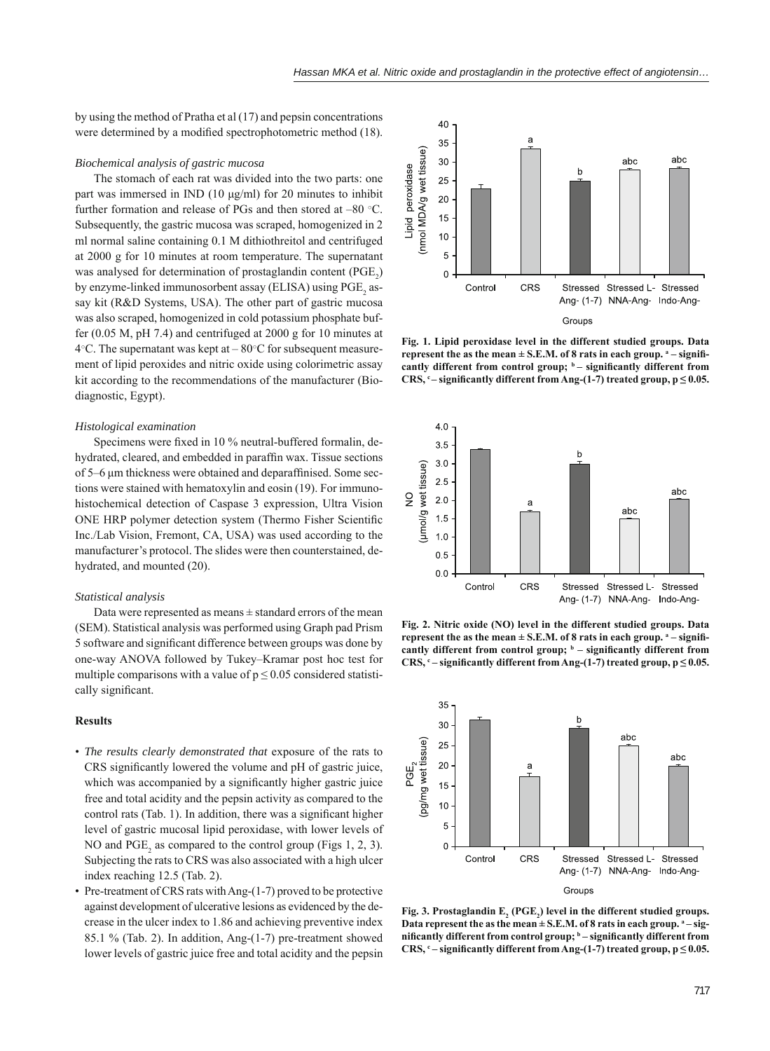by using the method of Pratha et al (17) and pepsin concentrations were determined by a modified spectrophotometric method (18).

## *Biochemical analysis of gastric mucosa*

The stomach of each rat was divided into the two parts: one part was immersed in IND (10 μg/ml) for 20 minutes to inhibit further formation and release of PGs and then stored at –80 ○C. Subsequently, the gastric mucosa was scraped, homogenized in 2 ml normal saline containing 0.1 M dithiothreitol and centrifuged at 2000 g for 10 minutes at room temperature. The supernatant was analysed for determination of prostaglandin content  $(PGE_2)$ by enzyme-linked immunosorbent assay (ELISA) using  $\mathrm{PGE}_{2}$  assay kit (R&D Systems, USA). The other part of gastric mucosa was also scraped, homogenized in cold potassium phosphate buffer (0.05 M, pH 7.4) and centrifuged at 2000 g for 10 minutes at  $4^{\circ}$ C. The supernatant was kept at –  $80^{\circ}$ C for subsequent measurement of lipid peroxides and nitric oxide using colorimetric assay kit according to the recommendations of the manufacturer (Biodiagnostic, Egypt).

#### *Histological examination*

Specimens were fixed in 10 % neutral-buffered formalin, dehydrated, cleared, and embedded in paraffin wax. Tissue sections of 5–6 um thickness were obtained and deparaffinised. Some sections were stained with hematoxylin and eosin (19). For immunohistochemical detection of Caspase 3 expression, Ultra Vision ONE HRP polymer detection system (Thermo Fisher Scientific Inc./Lab Vision, Fremont, CA, USA) was used according to the manufacturer's protocol. The slides were then counterstained, dehydrated, and mounted (20).

#### *Statistical analysis*

Data were represented as means  $\pm$  standard errors of the mean (SEM). Statistical analysis was performed using Graph pad Prism 5 software and significant difference between groups was done by one-way ANOVA followed by Tukey–Kramar post hoc test for multiple comparisons with a value of  $p \le 0.05$  considered statistically significant.

#### **Results**

- *The results clearly demonstrated that* exposure of the rats to CRS significantly lowered the volume and pH of gastric juice, which was accompanied by a significantly higher gastric juice free and total acidity and the pepsin activity as compared to the control rats (Tab. 1). In addition, there was a significant higher level of gastric mucosal lipid peroxidase, with lower levels of NO and  $PGE_2$  as compared to the control group (Figs 1, 2, 3). Subjecting the rats to CRS was also associated with a high ulcer index reaching 12.5 (Tab. 2).
- Pre-treatment of CRS rats with Ang-(1-7) proved to be protective against development of ulcerative lesions as evidenced by the decrease in the ulcer index to 1.86 and achieving preventive index 85.1 % (Tab. 2). In addition, Ang-(1-7) pre-treatment showed lower levels of gastric juice free and total acidity and the pepsin



**Fig. 1. Lipid peroxidase level in the different studied groups. Data represent the as the mean**  $\pm$  **S.E.M. of 8 rats in each group.**  $^a$  **– signifi**cantly different from control group;  $b$  – significantly different from **CRS,**  $c$  **– significantly different from Ang-(1-7) treated group,**  $p \le 0.05$ **.** 



**Fig. 2. Nitric oxide (NO) level in the different studied groups. Data represent the as the mean**  $\pm$  **S.E.M. of 8 rats in each group.**  $^a$  **– signifi**cantly different from control group;  $b$  – significantly different from CRS,  $^{\circ}$  − significantly different from Ang-(1-7) treated group,  $p ≤ 0.05$ .



Fig. 3. Prostaglandin  $E_2$  (PGE<sub>2</sub>) level in the different studied groups. Data represent the as the mean  $\pm$  S.E.M. of 8 rats in each group.  $a$ -sig**nificantly different from control group;**  $<sup>b</sup>$  – significantly different from</sup> CRS,  $^{\circ}$  − significantly different from Ang-(1-7) treated group,  $p ≤ 0.05$ .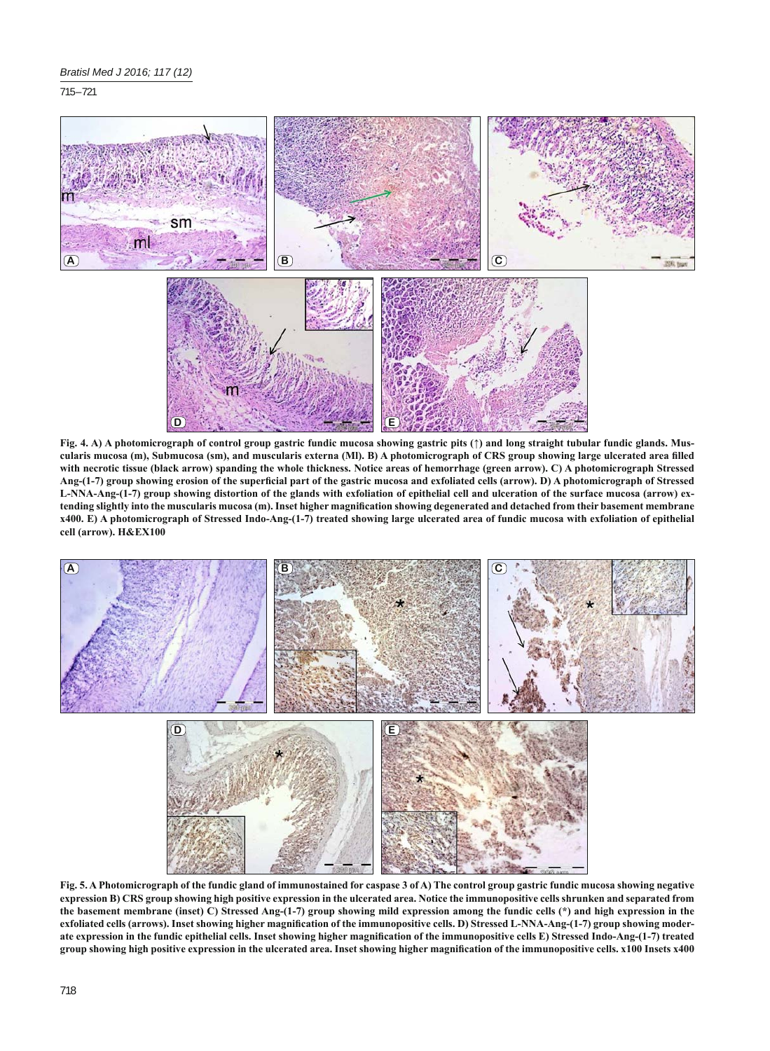715 – 721



**Fig. 4. A) A photomicrograph of control group gastric fundic mucosa showing gastric pits (↑) and long straight tubular fundic glands. Muscularis mucosa (m), Submucosa (sm), and muscularis externa (Ml). B) A photomicrograph of CRS group showing large ulcerated area fi lled with necrotic tissue (black arrow) spanding the whole thickness. Notice areas of hemorrhage (green arrow). C) A photomicrograph Stressed**  Ang-(1-7) group showing erosion of the superficial part of the gastric mucosa and exfoliated cells (arrow). D) A photomicrograph of Stressed **L-NNA-Ang-(1-7) group showing distortion of the glands with exfoliation of epithelial cell and ulceration of the surface mucosa (arrow) extending slightly into the muscularis mucosa (m). Inset higher magnifi cation showing degenerated and detached from their basement membrane x400. E) A photomicrograph of Stressed Indo-Ang-(1-7) treated showing large ulcerated area of fundic mucosa with exfoliation of epithelial cell (arrow). H&EX100**



**Fig. 5. A Photomicrograph of the fundic gland of immunostained for caspase 3 of A) The control group gastric fundic mucosa showing negative expression B) CRS group showing high positive expression in the ulcerated area. Notice the immunopositive cells shrunken and separated from the basement membrane (inset) C) Stressed Ang-(1-7) group showing mild expression among the fundic cells (\*) and high expression in the**  exfoliated cells (arrows). Inset showing higher magnification of the immunopositive cells. D) Stressed L-NNA-Ang-(1-7) group showing moderate expression in the fundic epithelial cells. Inset showing higher magnification of the immunopositive cells E) Stressed Indo-Ang-(1-7) treated **group showing high positive expression in the ulcerated area. Inset showing higher magnifi cation of the immunopositive cells. x100 Insets x400**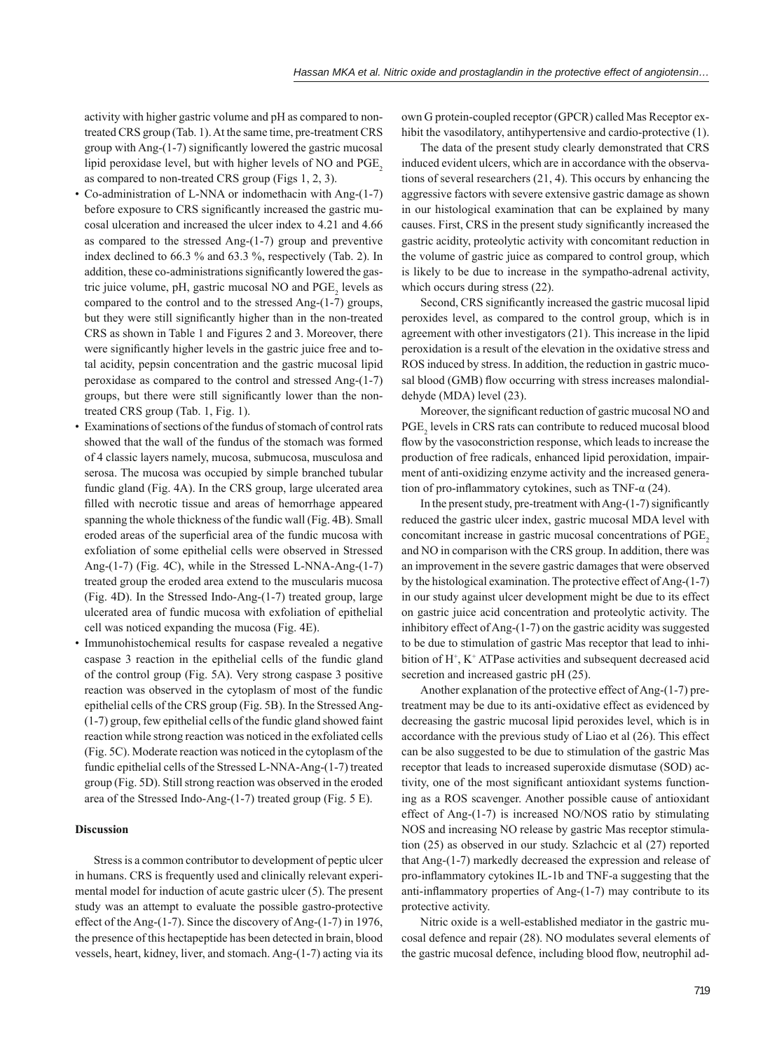activity with higher gastric volume and pH as compared to nontreated CRS group (Tab. 1). At the same time, pre-treatment CRS group with Ang-(1-7) significantly lowered the gastric mucosal lipid peroxidase level, but with higher levels of NO and PGE<sub>2</sub> as compared to non-treated CRS group (Figs 1, 2, 3).

- Co-administration of L-NNA or indomethacin with Ang-(1-7) before exposure to CRS significantly increased the gastric mucosal ulceration and increased the ulcer index to 4.21 and 4.66 as compared to the stressed Ang-(1-7) group and preventive index declined to 66.3 % and 63.3 %, respectively (Tab. 2). In addition, these co-administrations significantly lowered the gastric juice volume, pH, gastric mucosal NO and  $PGE_2$  levels as compared to the control and to the stressed Ang-(1-7) groups, but they were still significantly higher than in the non-treated CRS as shown in Table 1 and Figures 2 and 3. Moreover, there were significantly higher levels in the gastric juice free and total acidity, pepsin concentration and the gastric mucosal lipid peroxidase as compared to the control and stressed Ang-(1-7) groups, but there were still significantly lower than the nontreated CRS group (Tab. 1, Fig. 1).
- Examinations of sections of the fundus of stomach of control rats showed that the wall of the fundus of the stomach was formed of 4 classic layers namely, mucosa, submucosa, musculosa and serosa. The mucosa was occupied by simple branched tubular fundic gland (Fig. 4A). In the CRS group, large ulcerated area filled with necrotic tissue and areas of hemorrhage appeared spanning the whole thickness of the fundic wall (Fig. 4B). Small eroded areas of the superficial area of the fundic mucosa with exfoliation of some epithelial cells were observed in Stressed Ang-(1-7) (Fig. 4C), while in the Stressed L-NNA-Ang-(1-7) treated group the eroded area extend to the muscularis mucosa (Fig. 4D). In the Stressed Indo-Ang-(1-7) treated group, large ulcerated area of fundic mucosa with exfoliation of epithelial cell was noticed expanding the mucosa (Fig. 4E).
- Immunohistochemical results for caspase revealed a negative caspase 3 reaction in the epithelial cells of the fundic gland of the control group (Fig. 5A). Very strong caspase 3 positive reaction was observed in the cytoplasm of most of the fundic epithelial cells of the CRS group (Fig. 5B). In the Stressed Ang- (1-7) group, few epithelial cells of the fundic gland showed faint reaction while strong reaction was noticed in the exfoliated cells (Fig. 5C). Moderate reaction was noticed in the cytoplasm of the fundic epithelial cells of the Stressed L-NNA-Ang-(1-7) treated group (Fig. 5D). Still strong reaction was observed in the eroded area of the Stressed Indo-Ang-(1-7) treated group (Fig. 5 E).

#### **Discussion**

Stress is a common contributor to development of peptic ulcer in humans. CRS is frequently used and clinically relevant experimental model for induction of acute gastric ulcer (5). The present study was an attempt to evaluate the possible gastro-protective effect of the Ang-(1-7). Since the discovery of Ang-(1-7) in 1976, the presence of this hectapeptide has been detected in brain, blood vessels, heart, kidney, liver, and stomach. Ang-(1-7) acting via its own G protein-coupled receptor (GPCR) called Mas Receptor exhibit the vasodilatory, antihypertensive and cardio-protective (1).

The data of the present study clearly demonstrated that CRS induced evident ulcers, which are in accordance with the observations of several researchers (21, 4). This occurs by enhancing the aggressive factors with severe extensive gastric damage as shown in our histological examination that can be explained by many causes. First, CRS in the present study significantly increased the gastric acidity, proteolytic activity with concomitant reduction in the volume of gastric juice as compared to control group, which is likely to be due to increase in the sympatho-adrenal activity, which occurs during stress (22).

Second, CRS significantly increased the gastric mucosal lipid peroxides level, as compared to the control group, which is in agreement with other investigators (21). This increase in the lipid peroxidation is a result of the elevation in the oxidative stress and ROS induced by stress. In addition, the reduction in gastric mucosal blood (GMB) flow occurring with stress increases malondialdehyde (MDA) level (23).

Moreover, the significant reduction of gastric mucosal NO and PGE<sub>2</sub> levels in CRS rats can contribute to reduced mucosal blood flow by the vasoconstriction response, which leads to increase the production of free radicals, enhanced lipid peroxidation, impairment of anti-oxidizing enzyme activity and the increased generation of pro-inflammatory cytokines, such as TNF- $\alpha$  (24).

In the present study, pre-treatment with Ang- $(1-7)$  significantly reduced the gastric ulcer index, gastric mucosal MDA level with concomitant increase in gastric mucosal concentrations of PGE<sub>2</sub> and NO in comparison with the CRS group. In addition, there was an improvement in the severe gastric damages that were observed by the histological examination. The protective effect of Ang-(1-7) in our study against ulcer development might be due to its effect on gastric juice acid concentration and proteolytic activity. The inhibitory effect of Ang-(1-7) on the gastric acidity was suggested to be due to stimulation of gastric Mas receptor that lead to inhibition of H<sup>+</sup>, K<sup>+</sup> ATPase activities and subsequent decreased acid secretion and increased gastric pH (25).

Another explanation of the protective effect of Ang-(1-7) pretreatment may be due to its anti-oxidative effect as evidenced by decreasing the gastric mucosal lipid peroxides level, which is in accordance with the previous study of Liao et al (26). This effect can be also suggested to be due to stimulation of the gastric Mas receptor that leads to increased superoxide dismutase (SOD) activity, one of the most significant antioxidant systems functioning as a ROS scavenger. Another possible cause of antioxidant effect of Ang-(1-7) is increased NO/NOS ratio by stimulating NOS and increasing NO release by gastric Mas receptor stimulation (25) as observed in our study. Szlachcic et al (27) reported that Ang-(1-7) markedly decreased the expression and release of pro-inflammatory cytokines IL-1b and TNF-a suggesting that the anti-inflammatory properties of Ang- $(1-7)$  may contribute to its protective activity.

Nitric oxide is a well-established mediator in the gastric mucosal defence and repair (28). NO modulates several elements of the gastric mucosal defence, including blood flow, neutrophil ad-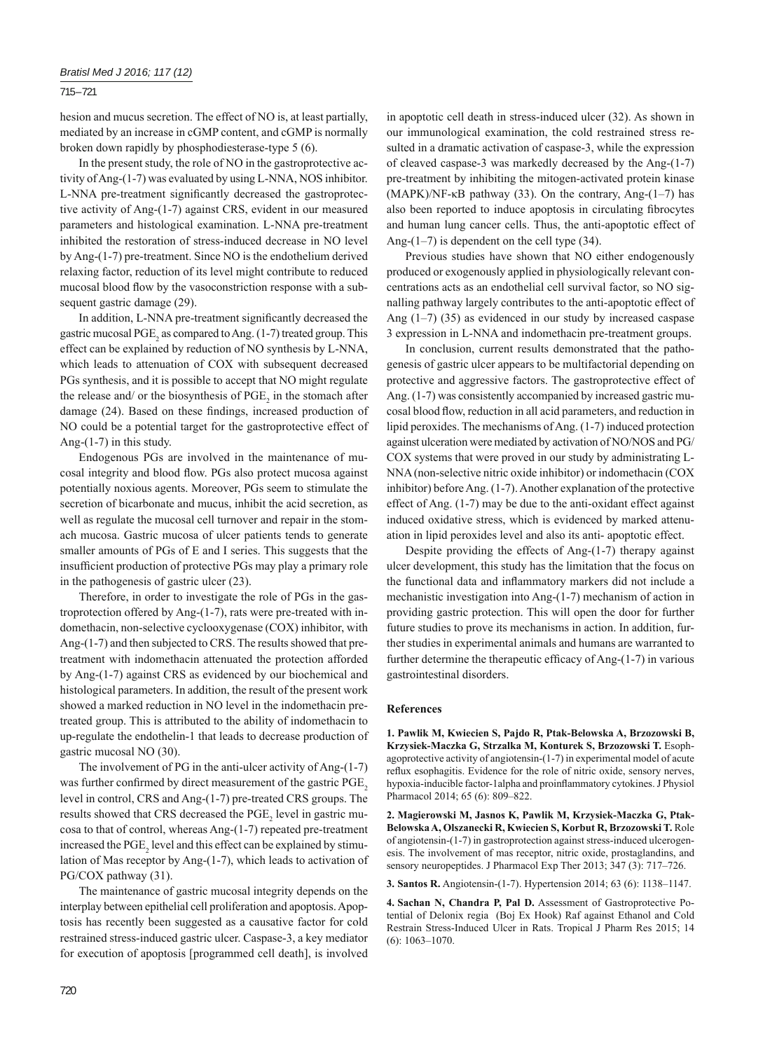# 715 – 721

hesion and mucus secretion. The effect of NO is, at least partially, mediated by an increase in cGMP content, and cGMP is normally broken down rapidly by phosphodiesterase-type 5 (6).

In the present study, the role of NO in the gastroprotective activity of Ang-(1-7) was evaluated by using L-NNA, NOS inhibitor. L-NNA pre-treatment significantly decreased the gastroprotective activity of Ang-(1-7) against CRS, evident in our measured parameters and histological examination. L-NNA pre-treatment inhibited the restoration of stress-induced decrease in NO level by Ang-(1-7) pre-treatment. Since NO is the endothelium derived relaxing factor, reduction of its level might contribute to reduced mucosal blood flow by the vasoconstriction response with a subsequent gastric damage (29).

In addition, L-NNA pre-treatment significantly decreased the gastric mucosal  $\text{PGE}_2$  as compared to Ang. (1-7) treated group. This effect can be explained by reduction of NO synthesis by L-NNA, which leads to attenuation of COX with subsequent decreased PGs synthesis, and it is possible to accept that NO might regulate the release and/ or the biosynthesis of  $PGE_2$  in the stomach after damage (24). Based on these findings, increased production of NO could be a potential target for the gastroprotective effect of Ang-(1-7) in this study.

Endogenous PGs are involved in the maintenance of mucosal integrity and blood flow. PGs also protect mucosa against potentially noxious agents. Moreover, PGs seem to stimulate the secretion of bicarbonate and mucus, inhibit the acid secretion, as well as regulate the mucosal cell turnover and repair in the stomach mucosa. Gastric mucosa of ulcer patients tends to generate smaller amounts of PGs of E and I series. This suggests that the insufficient production of protective PGs may play a primary role in the pathogenesis of gastric ulcer (23).

Therefore, in order to investigate the role of PGs in the gastroprotection offered by Ang-(1-7), rats were pre-treated with indomethacin, non-selective cyclooxygenase (COX) inhibitor, with Ang-(1-7) and then subjected to CRS. The results showed that pretreatment with indomethacin attenuated the protection afforded by Ang-(1-7) against CRS as evidenced by our biochemical and histological parameters. In addition, the result of the present work showed a marked reduction in NO level in the indomethacin pretreated group. This is attributed to the ability of indomethacin to up-regulate the endothelin-1 that leads to decrease production of gastric mucosal NO (30).

The involvement of PG in the anti-ulcer activity of Ang-(1-7) was further confirmed by direct measurement of the gastric PGE<sub>2</sub> level in control, CRS and Ang-(1-7) pre-treated CRS groups. The results showed that CRS decreased the  $PGE_2$  level in gastric mucosa to that of control, whereas Ang-(1-7) repeated pre-treatment increased the  $PGE_2$  level and this effect can be explained by stimulation of Mas receptor by Ang-(1-7), which leads to activation of PG/COX pathway (31).

The maintenance of gastric mucosal integrity depends on the interplay between epithelial cell proliferation and apoptosis. Apoptosis has recently been suggested as a causative factor for cold restrained stress-induced gastric ulcer. Caspase-3, a key mediator for execution of apoptosis [programmed cell death], is involved

in apoptotic cell death in stress-induced ulcer (32). As shown in our immunological examination, the cold restrained stress resulted in a dramatic activation of caspase-3, while the expression of cleaved caspase-3 was markedly decreased by the Ang-(1-7) pre-treatment by inhibiting the mitogen-activated protein kinase (MAPK)/NF-κB pathway (33). On the contrary, Ang-(1–7) has also been reported to induce apoptosis in circulating fibrocytes and human lung cancer cells. Thus, the anti-apoptotic effect of Ang- $(1-7)$  is dependent on the cell type  $(34)$ .

Previous studies have shown that NO either endogenously produced or exogenously applied in physiologically relevant concentrations acts as an endothelial cell survival factor, so NO signalling pathway largely contributes to the anti-apoptotic effect of Ang (1–7) (35) as evidenced in our study by increased caspase 3 expression in L-NNA and indomethacin pre-treatment groups.

In conclusion, current results demonstrated that the pathogenesis of gastric ulcer appears to be multifactorial depending on protective and aggressive factors. The gastroprotective effect of Ang. (1-7) was consistently accompanied by increased gastric mucosal blood flow, reduction in all acid parameters, and reduction in lipid peroxides. The mechanisms of Ang. (1-7) induced protection against ulceration were mediated by activation of NO/NOS and PG/ COX systems that were proved in our study by administrating L-NNA (non-selective nitric oxide inhibitor) or indomethacin (COX inhibitor) before Ang. (1-7). Another explanation of the protective effect of Ang. (1-7) may be due to the anti-oxidant effect against induced oxidative stress, which is evidenced by marked attenuation in lipid peroxides level and also its anti- apoptotic effect.

Despite providing the effects of Ang-(1-7) therapy against ulcer development, this study has the limitation that the focus on the functional data and inflammatory markers did not include a mechanistic investigation into Ang-(1-7) mechanism of action in providing gastric protection. This will open the door for further future studies to prove its mechanisms in action. In addition, further studies in experimental animals and humans are warranted to further determine the thera peutic efficacy of Ang- $(1-7)$  in various gastrointestinal disorders.

# **References**

**1. Pawlik M, Kwiecien S, Pajdo R, Ptak-Belowska A, Brzozowski B, Krzysiek-Maczka G, Strzalka M, Konturek S, Brzozowski T.** Esophagoprotective activity of angiotensin-(1-7) in experimental model of acute reflux esophagitis. Evidence for the role of nitric oxide, sensory nerves, hypoxia-inducible factor-1alpha and proinflammatory cytokines. J Physiol Pharmacol 2014; 65 (6): 809–822.

**2. Magierowski M, Jasnos K, Pawlik M, Krzysiek-Maczka G, Ptak-Belowska A, Olszanecki R, Kwiecien S, Korbut R, Brzozowski T.** Role of angiotensin-(1-7) in gastroprotection against stress-induced ulcerogenesis. The involvement of mas receptor, nitric oxide, prostaglandins, and sensory neuropeptides. J Pharmacol Exp Ther 2013; 347 (3): 717–726.

**3. Santos R.** Angiotensin-(1-7). Hypertension 2014; 63 (6): 1138–1147.

**4. Sachan N, Chandra P, Pal D.** Assessment of Gastroprotective Potential of Delonix regia (Boj Ex Hook) Raf against Ethanol and Cold Restrain Stress-Induced Ulcer in Rats. Tropical J Pharm Res 2015; 14 (6): 1063–1070.